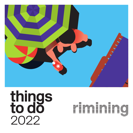

# things<br>to do<br>2022

rimining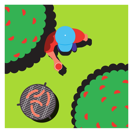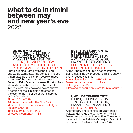# what to do in rimini between may and new year's eve 2022

#### UNTIL 8 MAY 2022

RIMINI, FELLINI MUSEUM – PALAZZO DEL FULGOR, PIAZZETTA SAN MARTINO FELLINI, BETWEEN DREAMS AND REALITY. RODRIGO PAIS' PHOTOGRAPHIC CONTRIBUTION

Photo exhibit curated by Glenda Furini and Guido Gambetta. The series of images that makes up this exhibit, bears witness to some of the most important times in Federico Fellini's artistic career. Rodrigo Pais shows him on the road, at public events, in interviews, previews and award shows. A section of the exhibit is dedicated to the events that inspired or were inspired by 'La Dolce Vita'.

Time: 10 AM – 7 PM.

Admission included in the FM - Fellini Museum trail, or admission to the Fulgor Building only: €3 Info: +39 0541.704494/96 cineteca@comune.rimini.it

#### EVERY TUESDAY, UNTIL DECEMBER 2022 RIMINI, FELLINI MUSEUM – PALAZZO DEL FULGOR, PIAZZETTA SAN MARTINO FFLLINLIN RETROSPETTIVA (FELLINI IN HINDSIGHT)

At the Cinemino set up inside the Palazzo del Fulgor, films by or about Fellini are shown every Tuesday at 4 PM. Admission included in the FM - Fellini

Museum trail. Admission to Palazzo del Fulgor only: €3.

Films and schedule on: www.fellinimuseum.it

#### UNTIL DECEMBER 2022 RIMINI, FELLINI MUSEUM – PALAZZO DEL FULGOR, PIAZZETTA SAN MARTINO PHOTO EXHIBITS

A temporary photo exhibit program inside Palazzo del Fulgor, to complement Fellini Museum's permanent collection. The events include: in June, Patrizia Mannajuolo's exhibit on the set of Federico Fellini's *La Città*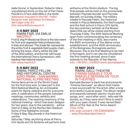*delle Donne*; in September, Roberto Villa's unpublished shots on the set of Pier Paolo Pasolini's *Il Fiore delle Mille e Una Notte*. Admission included in the FM - Fellini Museum trail. Admission to Palazzo del Fulgor only: €3. Info: www.fellinimuseum.it

#### 4-6 MAY 2022 RIMINI FAIR, VIA EMILIA **MACFRUT**

Fruit & Veg Professional Show is the star event for fruit and vegetable field professionals, in Italy and abroad. This trade fair represents the entire fruit & vegetable field supply chain. Among the news, cherry will be the star of the 2022 edition, and the Fair will house the International Cherry Symposium, with leading international experts Info: www.macfrut.it

#### 5-8 MAY 2022 RIMINI, PARCO FELLINI AND HISTORICAL CENTRE 93RD RIMINI – SAN MARINO NATIONAL ALPINE MEETING

Penne Nere arrive on the Rimini Coast for the first time ever, to take part in the 93rd National Meeting. An unmissable event for Alpine veterans and for everyone else. A celebration of the people, between meetings, ceremonies, exhibits and celebrations. The opening ceremony of the national meeting - which has been delayed for two years, due to the pandemic - will be held on 5 May, at the Romeo Neri Stadium. Some of the highlights include:

Friday 6 May, flag parade in the historical centre;

Saturday 7 May, skydiving show at Parco XXV Aprile and 33 fanfares will perform their anthems at the Rimini stadium. The big final parade will be held on the promenade, between Piazzale Gondar and Piazzale Marvelli, on Sunday 8 May. The military citadel in Piazzale Fellini, the historical citadel in Piazza Malatesta, the field hospital and the field school in Parco XXV Aprile, the documentary exhibits at the Museo della Città can all be visited starting from Thursday 5 May. The 93th National Meeting, apart from commemorating the centenary of the first meeting in 1920, also marks the 150th anniversary of the Alpine corps establishment, and the 100th anniversary of the Bolognese-Romagnola section. Moreover, this is the first Meeting to be held in Romagna, and it can also be considered the first meeting abroad, since it also extends to the Republic of San Marino. Info: +39 0541.1419554 www.adunatalpini.it

#### 10 MAY 2022 RIMINI, GALLI THEATRE CINEMA SAMUELE TOUR SAMUELE BERSANI ON TOUR IN THEATRES

Samuele Bersani is back live and presents "Cinema Samuele", an album that marks a new sound path for the artist, after a long and careful musical quest. The album ranges and expands between electro-music and songs, and - word after word - tells real-life stories, as if they were short films to watch with your eyes closed. It was named Best Album of the Year at the Tenco Award. Time: 9 PM

Info: pulp concerti +39 3290058054 - www.friendsandpartners.it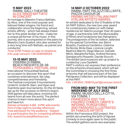#### 11 MAY 2022 RIMINI, GALLI THEATRE ALICE SINGS BATTIATO IN CONCERT

An homage to Maestro Franco Battiato, by Alice, one of the most popular and beloved Italian singers, his friend and collaborator since the beginning, whose artistic affinity - which has always linked her to this great Sicilian artist - make her a unique performer of his music. In this journey, she is accompanied on the piano by Maestro Carlo Guaitoli, who also worked for a very long time with Battiato, as pianist and conductor.

Time: 9 PM Tickets on sale on ticketone. Info: pulp concerti +39 3290058054

#### 13-15 MAY 2022 VISERBA DI RIMINI, BEACH RESORTS 29-36 TCHOUKBALL FESTIVAL 2022

International Tchouckball festival, an occasion to discover this sport that combines entertainment, fair-play, competitiveness and friendship. The Festival comprises 5 tournaments: Under14, Under19, Slam, and Open and OverAnta open tournaments. On the 20 fields set up for the occasion on Rimini's beach, 1000 games will take place, involving 150 teams from all over the world. The perfect chance to learn more about this sport and have fun.

Games schedule: 9 AM - 6 PM; side events from Friday night to Sunday afternoon. Free admission for the audience - Subject to a participation fee for competing athletes. Info: www.tchoukballfestival.com

#### 14 MAY-2 OCTOBER 2022 RIMINI, PART PALAZZI DELL'ARTE, PIAZZA CAVOUR 26 PREMIO ARTISTI ITALIANI PART (ITALIAN ARTISTS AWARD)

An exhibit dedicated to the 12 finalists of the 1st PART Edition, the new two-year award for contemporary Italian (or with Italian residence) art talents younger than 40 years of age, in partnership with the Municipality of Rimini and Fondazione San Patrignano. The protagonists of the 1st edition, selected by the special Committee, are: Benni Bosetto, Costanza Candeloro, Caterina De Nicola, Binta Diaw, Lorenza Longhi, Beatrice Marchi, Diego Marcon, Daniele Milvio, Margherita Raso, Andrea Romano, Giangiacomo Rossetti, Davide Stucchi. The exhibit (and museum) set-up project is curated by Luca Cipelletti.

PART's visitors can express their preference on the artworks showcased, which will aid the Committee in choosing the first three artworks that will become part of the San Patrignano Collection, and will be displayed at the PART.

Info: +39 0541.793879 part@comune.rimini.it

#### FROM MID-MAY TO THE FIRST RIMINI, MUSEO DELLA CITTÀ, VIA TONINI, 1 FRANCESCA 2021: THE FIGURED COMEDY. DANTE'S INFERNO, PURGATORIO AND PARADISO ILLUSTRATED BY FAMOUS ARTISTS

Within the Francesca 2021 project, the exhibit documenting the birth of figured Comedy is once again open to the public. The exhibit gathers some rare examples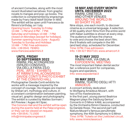of ancient Comedies, along with the most recent illustrated narratives: from graphic novels to mangas and pop-up books. The collection is complemented by engravings made by Franz Adolf Adolf Stürler in 1850. The exhibit will be open until Francesca da Rimini's birthday, on 1 July. Opening hours: Tuesday to Friday 10 AM - 1 PM and 4 PM - 7 PM; Saturday and holidays 10 AM - 7 PM; closed on Mondays (except for holidays). Summer opening hours (June - August): Tuesday to Sunday and Holidays 10 AM - 7 PM. Free admission. Info: +39 0541 793851 www.francescadarimini.it

#### UNTIL FRIDAY 30 SEPTEMBER 2022 RIMINI, PALACONGRESSI (SPAZIO CONVIVIO), VIA DELLA FIERA 23/D PERL\_ARTE - EXHIBITS AT RIMINI'S PALACONGRESSI DAVIDE CONTI'S PHOTO EXHIBIT AT THE CONVIVIO HALL

Photographer Davide Conti exhibits his works with a message inspired by the concept of courage. His images are inspired by Shibari art, mythology and culture, in a constant contamination between painting, visual art, graphic design and photography. The exhibit is curated by Matteo Sormani / Art Preview / Augeo Art Spac.

The Convivio Hall and the exhibit will be open during the events held at the Palacongressi, or they can be viewed on request. Info +39 0541 711500 info@riminipalacongressi.it

#### 18 MAY AND EVERY MONTH UNTIL DECEMBER 2022 RIMINI, CINETECA AND OTHER VENUES AROUND THE WORLD IN 80 SHORT FILMS

Nine stops, one each month, to discover cinema as a universal language. A selection of 80 quality short films from the entire world with Italian subtitles is shown at every stop. The audience will have the chance to vote and choose the best short film; the 8 finalists will compete in the 9th (and last) stop, scheduled for December.

Time: 9 PM. Free admission. Info: +39 327 9537101 www.amarcort.it

#### 19-21 MAY 2022 RIMINI FAIR, VIA EMILIA EXPODENTAL MEETING

The most important Italian dental sector fair; a reference point for companies. buyers and operators.

Info: www.expodental.it

#### 20 MAY 2022 RIMINI, TEATRO DEGLI ATTI **AMADEUS**

A concert entirely dedicated to Wolfgang Amadeus Mozart, with two of his masterpieces.

In the first part, young pianist Beatrice Magnani plays the Salzburg Genius' Concerto in D Minor K466, accompanied by the Orchestra Rimini Classica, conducted by Daniele Rossi. The second part will feature Mozart's famous penultimate symphony, the 40th Symphony in G Minor. Time: 9 PM. Tickets on the Liveticket circuit. Info: www.riminiclassica.it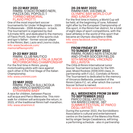#### 20-22 MAY 2022 RIMINI, STADIO ROMEO NERI, PIAZZA DEL POPOLO, 1 TORNEO MEMORIAL FLAVIO PROTTI

One of the most important soccer tournaments for Under 14 Beginners - 2009 Professionals - 2008 Amateurs - is back. The tournament is organized by Asd S.Ermete 1970, and dedicated to the memory of Flavio Protti, founder of the sports club and Igor's father - former soccer player in the Rimini, Bari, Lazio and Livorno clubs. Info: www.facebook.com/

memorialflavioprotti/

#### 21-22 MAY 2022 RIMINI, CLUB NAUTICO ITALIAN FORMULA ITALIA JUNIOR MOTORBOATING CHAMPIONSHIP

For the first time in Rimini, young motorboating pilots with race against each other in the First Stage of the Italian Championship.

Info: www.cnrimini.com

# 22 MAY 2022

RIMINI, PIAZZA SULL'ACQUA AND PARCO MARECCHIA STRARIMINI BABY

A race for children, between Piazza sull'acqua and Parco Marecchia. This miniwalk for children will anticipate the return, in 2023, of the traditional Rimini half-marathon. Info: www.strarimini.it

#### 26-28 MAY 2022 RIMINI FAIR, VIA EMILIA OLYMPIC BAR WORLD CUP AND JUNIOR CUP

For the first time in history, a World Cup will be held, at the beginning of June, followed right after by the European Championship of this sport, in the Rimini Fair district, for a total of eight days of sport competitions, with the best athletes in the world of this sport that became an Olympic discipline in 1998. Info: www.facebook.com/Trampoline. rimini22/

#### FROM FRIDAY 27 TO SUNDAY 29 MAY 2022 RIMINI, ROMEO NERI STADIUM AND OTHER SOCCER FIELDS 10TH MEMORIAL VINCENZO **BELLAVISTA**

The Città di Rimini International Junior Soccer Tournament is back for the 10th year, Mixed Rookies 2009/2010 class, in partnership with F.I.G.C. Comitato di Rimini. The Tournament is dedicated to the memory of Vincenzo Bellavista, president of the Rimini Calcio F.C. srl, after which the current Soccer School is named.

Info: www.accademiariminicalciovb.it

#### ALL WEEKENDS FROM 28 MAY TO SEPTEMBER 2022 PARCO DEGLI ARTISTI, VIA MARECCHIESE, 387 SUMMER FESTIVAL AT PARCO DEGLI ARTISTI

During the summer 2022, the Sorridolibero Association's cultural and entertainment centre on the banks of the Marecchia River, led by singer Sergio Casabianca, will bring a performing schedule - also in partnership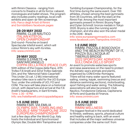with Rimini Classica - ranging from concerts to theatre in all its forms: cabaret, monologues and ballet shows. The program also includes poetry readings, local craft exhibits and open-air film screenings. Info: Parco degli Artisti di Rimini and Sorridolibero facebook pages

#### 28-29 MAY 2022 RIMINI, CLUB NAUTICO ITALIAN KITEFOIL OPEN CHAMPIONSHIP

2nd round- Porsche on board Spectacular kitefoil event, which will colour Rimini's sky with its kites. Info: www.cnrimini.com

#### 29 MAY 2022  $R$ IMINI S.ERMETE  $\rightarrow$ SANTARCANGELO COPPA DELLA PACE (PEACE CUP)

50th edition of the Coppa della Pace, 47th Trofeo F.lli Anelli and 32nd Trofeo Gabriele Dini, and the "Memorial Fabio Casartelli". This Under 23 cat. 1.2 MU international amateur bike race is valid for the UCI Europe Tour, under the umbrella of UCI, FCI and CONI. The race will take place on a historical circuit, with departure and arrival at the F.lli Anelli's headquarters, in Sant'Ermete. Time: 1:30 - 6 PM.

Info: ww.fratellianelli.com/coppadellapace

#### 1-5 JUNE 2022 RIMINI FAIR, VIA EMILIA OLYMPIC BAR, TUMBLING AND DOUBLE-MINI TRAMPOLINE 2022 EUROPEAN CHAMPIONSHIP

Just a few days after the World Cup, Italy hosts the Individual and Synchronized Olympic Bar, Double Mini Trampoline and

Tumbling European Championship, for the first time during the same event. Over 700 athletes, chosen among the best gymnasts from 35 Countries, will be the stars at the Rimini Fair. Among the most important gymnasts present in Rimini: Bryony Page and Dylan Schmidt: bronze medals in Tokyo 2020. Bryony is also the running world champion, and she also won the silver medal in Rio 2016 - Brazil.

Info: www.europeangymnastics.com www.facebook.com/Trampoline.rimini22/

# 1-2 JUNE 2022

RIMINI, PIAZZALE BOSCOVICH AND THE BEACH IN FRONT OF IT, PIAZZA SULL'ACQUA AT TIBERIUS BRIDGE 2022 SPORTS DAY: ADRIATICO SULL'ONDA DELLO SPORT

An event to promote water/sea sports and raise awareness on the need to protect the Adriatic sea's animals and plants, organized by CONI Emilia-Romagna. There will be many water sports featured: sailing, rowing, kayak, swimming (rescue and distance swimming sections), motorboating, sport fishing and water skiing. The following associations will also be present: Club Nautico, Fondazione Cetacea, Capitaneria di Porto and Guardia di Finanza.

Info: www.cnrimini.com

#### 2-5 JUNE 2022 RIMINI FAIR RIMINI WELLNESS

The biggest festival in the world dedicated to fitness, wellness, sports, physical culture and healthy eating is back, with an event that includes all the major wellness universe companies under the same roof: from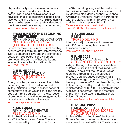physical activity machine manufacturers to gyms, schools and associations, bodybuilders, and also relaxation SPAs, physical rehabilitation centres, dance, and also tourism and design. The 16th edition will be a huge happening, completely devoted to the fitness, wellness and sports community. Info: www.riminiwellness.com

#### FROM JUNE TO THE BEGINNING OF SEPTEMBER RIMINI AND SEASIDE LOCATIONS CENTO GIORNI IN FESTA (100 DAYS OF CELEBRATION)

Events for the entire summer. Small and big events, organized by Tourist Committees, to liven up squares, alleys and the promenade between Torre Pedrera and Miramare, promoting the culture of hospitality and levering the local traditional identity. Info: 0541.53399

#### 3-5 JUNE 2022 RIMINI, RDS STADIUM RITMICA E ARTISTICA **OLTREMARE**

A very popular gymnastics event, which is becoming one of the most important in Italy. Artistica Europa is an independent competitive circuit, which flanks the already popular Ritmica Europa, with the purpose of promoting men and women's gymnastics, by addressing athletes of any age. Info: www.sporteuropa.eu

#### 4 JUNE 2022 RIMINI, GALLI THEATRE FESTIVAL DI RIMINI

Rimini Festival's Final, organized by YourVoice Records and Rimini Classica and presented by Laura Miuccia Padovani. The 16 competing songs will be performed by the Orchestra Rimini Classica, conducted by Maestro Aldo Maria Zangheri. Audience Award and Orchestra Award in partnership with the Lions Club Rimini Riccione Host and the Club Soroptimist Rimini Tickets available on Liveticket.

Time: 8:30 PM Info: www.riminiclassica.it

#### 4-5 JUNE 2022 **RIMINI** TROFEO DELFINO

International junior soccer tournament with 150 participating teams from 9 European countries. Info: www.euro-sportring.com

#### 5 JUNE 2022 RIMINI, PIAZZALE FELLINI CITROËN DS VINTAGE CAR RALLY

A day in the sign of vintage cars, exhibited at Parco Fellini, in front of the Grand Hotel The rally is held by IDéeSse Club, which reunites Citroën (and DS in particular the iconic car produced between 1955 and 1975) vintage car lovers. The Club, which has approximately 600 members throughout Italy, is recognized by the Mother House, registered to the R.I.A.S.C. (Registro Italiano Auto Storiche Citroën) and is a member of the FIVA (Federazione Internazionale Veicoli d'Epoca).

Info: www.facebook.com/ideesseclub/

#### 6-12 JUNE 2022 RIMINI, GALLI THEATRE MASTERCLASS CONCORSO RUDOLF NUREEV

In view of the third edition of the Rudolf Nureev Contest, the second Masterclass session will be held in Rimini. The dancers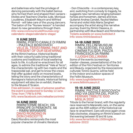and ballerinas who had the privilege of dancing personally with the ballet Genius who formed them and shaped their careers -Etoiles and Teachers Charles Jude, Monique Loudières, Elisabeth Maurin and Wilfried Romoli - will take care of the young dancers. The baton of the "Nureev lesson" is handed down to new generations through them. Info: www.concoursrudolfnoureev.org/ calendario-stage/calendario-stage/

#### 11 JUNE 2022 RIMINI, PORTO CANALE DI RIMINI - PIAZZALE BOSCOVICH VELE AL TERZO RIMINI, PAST AND PRESENT OF OUR SEAFARING

At the Rimini harbour, Historical Boats with their colourful sails bring traditional customs and traditions of local seafaring back to life. A cultural re-enactment for all ages, to admire the traditional "Vele al Terzo", the characteristic rig with two masts and the trapezoidal sail, and get to know the crews that offer guided visits on moored boats, telling the story and the characteristics of Romagna's historical boats. Historical fishing equipment will also be on exhibit, thanks to the Museo E'Scaion.

Free admission. In case of adverse weather, the event is postponed to Sunday 12 June. Time: from 7 PM to 8 PM

Info: www.facebook.com/velealterzorimini/

#### 14 JUNE 2022 RIMINITERME BEACH, VIA PRINCIPE DI PIEMONTE, 56 – RIMINI MIRAMARE DAVID RIONDINO IN DON CHISCIOTTE

David Riondino reinterprets the most popular character of chivalric literature

- Don Chisciotte - in a contemporary key, and, switching from comedy to tragedy, he suggests new narratives ranging between horses and horsemen, dames and love. Guitarist Andrea Candeli, flautist Matteo Ferrai and violist Aldo Maria Zangheri accompany the artist along this narrative journey. Event by Rimini Classica, in partnership with Blue Beach and Riminiterme. Tickets available on www.liveticket.it Info: www.riminiclassica.it

# 14-18 JUNE 2022

RIMINI, FELLINI MUSEUM – PALAZZO DEL FULGOR, CINEMA FULGOR, PIAZZA FRANCESCA DA RIMINI I LUOGHI DELL'ANIMA

Some of the events (screenings, master-classes, presentations) of the 3rd edition of the Film Festival on Territories and Beauty, organized by the Associazione culturale Tonino Guerra, will be held in the indoor and outdoor spaces of the Fellini Museum.

Info: www.luoghidellanima.it or www.fellinimuseum.it

#### 15-16 JUNE 2022 RIMINI, PIAZZALE BOSCOVICH AND VIA DESTRA DEL PORTO FERRARI TRIBUTE 1000 MIGLIA 2022

Tribute to the Ferrari brand, with the regularity race reserved to Maranello cars, on the same year as the 40th edition of the historical car race re-enactment. Cars will once again cross Italy clockwise, stopping on Rimini's beach on the evening between 15 and 16 June. Info: www.ferraritribute.1000miglia.it/ edizione-2022/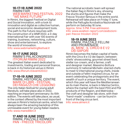#### 16-17-18 JUNE 2022 RIMINI FAIR WEB MARKETING FESTIVAL 2022 "WE MAKE FUTURE"

In Rimini, the biggest Festival on Digital and Social Innovation, with a look to innovation and digital as collective human, social and economic development tools. The path to the Future resumes with the construction of a WMF2022, a 3-day International Fair with over 100 events of training, business, networking, culture, show and entertainment, to explore the world of innovation.

Info: www.webmarketingfestival.it

#### 16-17 JUNE 2022 RIMINI'S PALACONGRESSI ITFORUM RIMINI 2022

The greatest Italian event dedicated to investments, trading and personal finance, is back in its historical venue in Rimini Info: www.itforum.it/eventi2022/

#### 17-18-19 JUNE 2022 RIMINI, HISTORICAL CENTRE MARE DI LIBRI - FESTIVAL DEI RAGAZZI CHE LEGGONO

The only Italian festival for young adult literature, will take place also in 2022, reaching an important anniversary: its 15th edition. The events will take place, as usual, in the context offered by the most important venues in Rimini's historical centre, which has always been the amazing backdrop of this unmissable event for young Italian readers. Info: www.maredilibri.it

17 AND 18 JUNE 2022 RIMINI, PIAZZALE KENNEDY PAN - FRECCE TRICOLORI

The national acrobatic team will spread the Italian flag in Rimini's sky, showing the stunts and figures that make the Frecce Tricolori famous in the entire world. Rehearsal will take place on Friday 17 June, while the Pattuglia Acrobatica Nazionale will perform on Saturday 18 June. Approx. time: 5 PM. Free admission Info: www.aviation-report.com/esibizionipan-frecce-tricolori-2022

#### 18-19 JUNE 2022 RIMINI, PIAZZALE FELLINI AND PROMENADE AL MENI - IL CIRCO 8 E 1/2 DEI SAPORI

Rimini becomes the Italian capital of taste, with the Circo 8 e 1/2 dei Sapori, between chefs' showcooking, gourmet street food, stellar ice-cream, and a farmer, craft and designer market. Massimo Bottura summons 12 national Michelin-starred chefs to meet 12 international young chefs, inside and outside a Fellini-inspired circus, for an event celebrating the protagonists and the wealth of such a unique territory. The event, which this year will have the Mediterranean as its main theme, is back in Marina Centro, where the market with the best PDO and PGI products of the Region, and Matrioska the craft and designer lab store, with their "hand-made" creations - can be found in front of the big circus tent. Info: www.almeni.it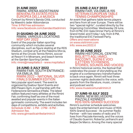#### 21 JUNE 2022 RIMINI, ARENA AGOSTINIANI BENVENUTA ESTATE/FESTA EUROPEA DELLA MUSICA

Concert by Rimini's Banda Città, conducted by Maestro Jader Abbondanza

Time: 9 PM Free admission Info: www.facebook.com/bandacittadirimini

#### 21 GIUGNO-26 JUNE 2022 RIMINI, VARIOUS LOCATIONS MSP DAY 2022

Event of the popular Italian sporting community which includes several disciplines, such as figure skating at the RDS Stadium, combat arts at the Palestra Sforza, tennis at the Circolo Tennis Rimini, soccer at Resort 11 in Miramare, and beach tennis at the Garden Sporting Center. Info: rimini@maspitalia.it - www.mspitalia.it

#### 24 JUNE-3 JULY 2022 RIMINI FAIR, SOUTH ENTRANCE: VIA EMILIA, 155 RIMINI 2022 – NATIONAL SILVER FINALS SUMMER EDITION

Very popular sport event. The event is organized by Esatour Sport Events and ASD Pesaro Gym, in partnership with the Federazione Ginnastica d'Italia. The latest edition featured many athletes at the Rimini Fair, confirming itself as one of the most awaited and popular events in the Italian gymnastic community. The event includes ten days of competitions, exhibits and activities. Schedule: 8 AM - 1 PM - 2 PM - 6 PM -

Admission fee.

Info: www.ginnasticainfestarimini.it

#### 25 JUNE-2 JULY 2022 RIMINI FAIR, VIA EMILIA 155 VETERAN EUROPEAN TABLE TENNIS CHAMPIONSHIPS

An event that gathers table tennis players and fans from all over Europe. There will be two "special nights", curated directly by the Organizing Committee: Wednesday 29 June, from 8 PM, EVC Gala Dinner Party at Rimini's Grand Hotel; and Friday 1 July, from 8 PM, the traditional EVC Farewell Party.

Offers and reservations on www.visitrimini.com Info: www.evc2022.it

#### 28-30 JUNE 2022 RIMINI HISTORICAL CENTRE BIGLIETTI AGLI AMICI. RACCONTI, SUONI E VOCI (LETTERS TO FRIENDS. STORIES, SOUNDS AND VOICES)

In Rimini historical centre, the festival that celebrates the power of storytelling as the engine of a contemporary transformation is back once again. Rimini will host three summer nights dedicated to the voice, with guests from the literature, music, cinema and podcast world.

Info: www.museicomunalirimini.it

#### 27 JUNE-10 JULY 2022 RIMINI, NEW BELVEDERE PIAZZALE KENNEDY RDS 100% GRANDI SUCCESSI

Rimini's summer schedule welcomes back the entertainment and music of RDS 100% Grandi Successi - its summer Radio Partner - with two weeks of radio and TV lives from Piazzale Kennedy, and the voices of Claudio Guerrini, Roberta Lanfranchi and Beppe De Marco. Among the many special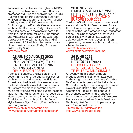entertainment activities through which RDS brings so much music and fun on Rimini's promenade: during the entire period, Claudio Guerrini and Roberta Lanfranchi's DJ-sets will liven up the square - at 6:30 PM. Tuesday to Friday - and at 10 PM on weekends. On Pink Night, the Piazzale Kennedy location will host the Discoradio Party - Discoradio's travelling party with the more upbeat hits, from the 90s to date, mixed by Edo Munari and Matteo Epis, with Valentina Guidi and Don Cash's entertainment. At the end of the season, RDS will host the performance of two music artists, on Friday 9 July and on Saturday 9 July. Info: www.rds.it

#### 28 JUNE-20 AUGUST 2022 RIMINI, VIALE PRINCIPE DI PIEMONTE, 56/62, BEACH ON THE FORMER COLONIA MARINA BOLOGNESE RIMINI BEACH ARENA

A series of concerts and DJ-sets on the beach, in the sign of versatility, perfect for such a diverse audience as the Riviera's. A musical schedule with live sessions from the best urban Italian artists, and a series of DJs from the most important electromusic festivals. Some of the guests include: Maluma, Paul Kalkbrenner, Salmo, Loco Dice, Marco Carola, Armonica e Brina Knauss, Ghali, Lazza, Ozuna, Tyga, Elodie, Anuel, Myke Towers, Ryan Castro, Fred de Palma and many more.

Info: www.riminibeacharena.com - www.facebook.com/riminibeacharena/

#### 28 JUNE 2022 RIMINI BEACH ARENA, VIALE PRINCIPE DI PIEMONTE, 56/62 MALUMA - PAPI JUANCHO EUROPE TOUR 2022

The icon of Latin music opens the musical season at the Rimini Beach Arena. Today, the Colombian singer is one of the leading names of the Latin-American pop-reggaeton scene. The singer boasts a great music career, filled with great hits, awards, acknowledgements and over 18 million copies sold, between singles and albums, all over the world.

Time: 9 PM Admission fee. www.ticketone.it/artist/maluma/



An event with this original tribute production to Nina Simone - jazz icon and civil rights activists - where Maria Pia De Vito - special quest of the Italian Jazz Orchestra - will perform alongside trumpet player Flavio Boltro at the Corte degli Agostiniani. Fabio Petretti conducts the Orchestra. An original production by Jazz Network/Crossroads – Entroterre Festival - Associazione Scuola Musicale Dante Alighieri Bertinoro. In partnership with Percuotere la mente Time: 9:15 PM. Admission fee. Info: www.crossroads-it.org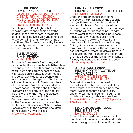## 30 JUNE 2022 RIMINI, PIAZZA CAVOUR GRAN PREMIO DI BALLO LISCIO CITTÀ DI RIMINI - EDIZIONI MUSICALI CASADEI SONORA (RIMINI BALLROOM DANCING GRAND PRIX)

Debuting at the Pink Night, a ballroom dancing night, to once again enjoy the golden times atmosphere in the heart of Rimini; and, above all, a night of fun open to everyone, in the name of Romagna's traditions. The Show is curated by Rimini's community centres, in partnership with the Sempre Giovani centre.

#### 1-3 JULY 2022 RIMINI RIVIERA PINK NIGHT

Summer's "New Year's Eve", the great party on the Riviera, reaches its 17th edition. The entire coast - and Rimini as its beating heart - turns pink, from sunset to dawn, in an explosion of lights, sounds, images and colours. A widespread event with music, shows and magic sets. "Pink & Love" is this edition's claim. In Rimini, two days of concerts on Piazzale Fellini, and after Friday's concert, at midnight, the entire Riviera will be brightly lit by the popular fire show, one of the most anticipated moments of this magical night. On the morning of Sunday July 3, on the Riminiterme beach, there will be the traditional Concerto all'Alba della Notte Rosa (5 AM), with the amazing backdrop of the sun rising over the sea Info: www.lanotterosa.it

#### 1 AND 2 JULY 2022 RIMINI'S BEACH, RESORTS 1-150 UN MARE DI ROSA

Under the firmament of lights along the beach, the Pink Night on the beach is back, with two maxi events: Un Mare di Vino and Un Mare di Fuoco, pink edition. Dozens of wineries from the Emilia-Romagna hinterland will set up tasting points right by the water, for wine tastings. Countless music spots with bands performing unplugged, and stokers' shows from all over Italy, with three replicas until midnight. Chiringuitos, relaxation areas for romantic strolls with the sound of the waves crashing against the backwash: Un Mare di Rosa is the soul of the Pink Night on the beach, and this year, it doubles the fun, for two nights of flavour, traditions and music on the beach. Info: www.spiaggiarimini.net

#### JULY-AUGUST 2022 RIMINI, CORTE AGOSTINIANI, VIA CAIROLI 40 AGOSTINIANI ESTATE: FILMS UNDER THE STARS

Open-air film festival in the heart of the historical centre, with the best films of the winter season to enjoy 'under the stars'. A selection that blends quality and entertainment, food for thought and light-heartedness, with a few previews. Time: 9:30 PM. Admission: € 6 (full price) - € 5 (discounted price)

#### 1 JULY-30 AUGUST 2022 RIMINI'S BEACH LA VITA DOLCE

An exhibit arranged over several km of beach, about the most intimate and hidden Rimini, through some of Gianni Donati and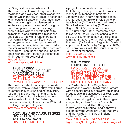Pio Sbrighi's black and white shots. The photo exhibit unwinds right next to the beach, and is divided into five chapters, through which the city of Rimini is described with nostalgia, irony, clarity and imagination. The photo-telling is complemented by sentences, quotes, the authors' thoughts and Romagna anecdotes. The images show a Rimini whose secrets belong to its residents, and articulated in sections dedicated to many different characters from Rimini's day-to-day life, universal archetypes where to recognize oneself, among sunbathers, fishermen and children, the stars of real-life scenes. The photos are taken from Gianni Donati and Pio Sbrighi's book, with the contribution of the famous Rimini author, Marco Missiroli. Free admission.

Info: www.spiaggiarimini.net

#### 1-3 JULY 2022 MISANO WORLD CIRCUIT MARCO SIMONCELLI FANATEC GT WORLD CHALLENGE POWERED BY AWS – SPRINT CUP

The most important motor sports brands worldwide, from Audi to Bentley, from Ferrari to Lamborghini to BMW and Aston Martin, race in the Misano International Circuit, where Valentino Rossi is back to running on 4 wheels with Audi. And Saturday, the spectacular night race for the GT World Challenge Europe categories Info: www.misanocircuit.com

#### 2-27 JULY AND 7 AUGUST 2022 RIMINI, BEACH AND PIAZZA CAVOUR RIMINI FOR MUTOKO

A project for humanitarian purposes that, through play, sports and fun, raises money for humanitarian projects in Zimbabwe and in Italy. Among the beach events: beach tennis (9-17 July Bagno 34), beach volley (2-17 July Bagno Carlino 65 – Torre Pedrera), foot volley (2-17 July Bagno 53-54-55) and couples bocce (16-17 July Bagno 34) tournaments, open to everyone. On 23 July, you can take part also to the summer edition of the RunRise Rimini for Mutoko, the run-walk at dawn on the beach (5:48 AM from Bagno 34). One last appointment on Saturday 7 August, at 8 PM, on Piazza Cavour, with the Couples Burraco Tournament for charity. Info: +39 335 1270914

www.riminiformutoko.it

# 3 JULY 2022

#### RIMINI, GALLI THEATRE LA MESSA ARCAICA AND CANZONI MISTICHE BY FRANCO BATTIATO SPECIAL PREVIEW OF THE 73RD EDITION OF THE SAGRA MUSICALE MALATESTIANA

The 73rd edition of the Sagra Musicale Malatestiana is a tribute to Franco Battiato, with a special, precious preview: an original production of his Messa Arcaica e Canzoni Mistiche, interpreted by three singers who worked alongside the Sicilian singersongwriter, such as Simone Cristicchi, Juri Camisasca and Alice. Alongside mezzo-soprano Cristina Baggio, they will accompany the Orchestra Bruno Maderna and the "Guido Chigi Saracini" Siena Cathedral's Choir.

Time: 9 PM Info: tel. +39 0541.793811 – biglietteria@teatrogalli.it – www.teatrogalli.it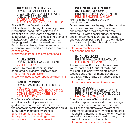#### JULY-DECEMBER 2022 RIMINI, COMPLESSO DEGLI AGOSTINIANI, GALLI THEATRE AND OTHER VENUES SAGRA MUSICALE MALATESTIANA - 73RD EDITION

Since 1950, the Sagra Musicale Malatestiana has brought the most popular international conductors, soloists and orchestras to Rimini, for this prestigious cultural event, one of the most long-standing in Italy. Apart from symphony concerts, the program includes the usual sections: Percuotere la Mente, chamber music and ancient music concerts, and special projects Admission fee.

Info: www.sagramusicalemalatestiana.it

#### 4 JULY 2022 RIMINI, ARENA AGOSTINIANI VALCOL JAZZ

Concert by the AB Rimini Big Band, conducted by Maestro Renzo Angelini Time: 9 PM Free admission Info: www.facebook.com/bandacittadirimini

# 6-31 JULY 2022

#### RIMINI, VARIOUS LOCATIONS ANTICO/PRESENTE - FESTIVAL DEL MONDO ANTICO CONSENSO / CON-SENSO: 24TH EDITION

The festival of conferences, meetings, round tables, book presentations, guided tours and shows is back, to read the past to understand the present and build our future with greater awareness.

Several summer events on July. Participation to the meetings is free. Info: www.antico.comune.rimini.it

#### WEDNESDAYS ON JULY AND AUGUST 2022 RIMINI, HISTORICAL CENTRE RIMINI SHOPPING NIGHT

Nights in the historical centre with the stores open.

On summer Wednesday nights, the historical centre livens up with several initiatives, and stores open their doors for a few extra hours, with special prices, cocktails and entertainment. Many stores, shops and cafés/bars participating to the initiative. A chance to enjoy the city and shop also on summer nights.

Info: www.facebook.com/ riminishoppingnight

#### 8-10 JULY 2022 RIMINI, PIAZZA SULL'ACQUA P.ASSAGGI DI VINO

The wineries of Rimini's hinterland await you at Piazza sull'Acqua, at the bridge of Tiberius, to enjoy two nights of wine tastings and entertainment, devoted to local DOC wine and its centuries-old ties with the territory.

Info: www.stradadeivinidirimini.com

#### 9 JULY 2022 RIMINI BEACH ARENA, VIALE PRINCIPE DI PIEMONTE, 56/62 LAZZA IN CONCERT

After the success of his last album 'Sirio', the Milan rapper makes a stop on the stage of the Rimini Beach Arena, with his Sirio Tour. For the first time ever, the artist will perform his latest album - which conquered national and international top-tens - live, in a self-reflective journey to the discovery of his most intimate and hidden side. Info: www.riminibeacharena.com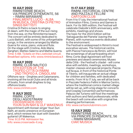#### 10 JULY 2022 RIMINITERME BEACH, VIA PRINCIPE DI PIEMONTE, 56 – RIMINI MIRAMARE FINALMENTE LUCIO - ALBA IN MUSICA, CRISTINA DI PIETRO SINGS BATTISTI

Cristina Di Pietro is back to singing at dawn, with the magic of the sun rising from the sea, on the Riminiterme beach. The concert will be entirely dedicated to Lucio Battisti, with some of his unforgettable songs, in the versions arranged by Mattia Guerra for voice, piano, viola and flute. On the stage with Cristina, Aldo Maria Zangheri, Matteo Salerno and Mattia Guerra. Time: 5 AM. Tickets on the Liveticket circuit. Breakfast options. Info: www.riminiclassica.it

# 10 JULY 2022 RIMINI, CLUB NAUTICO<br>5TH EDITION OF THE 5TH EDITION OF THE TROFEO CITTÀ DI RIMINI - 2ND TROFEO A. CINGOLANI

Offshore race - Dinghies and Catamarans, involving all the local Clubs and all kinds of boats, from small dinghies to big offshore boats.

Info: www.cnrimini.com

11 JULY 2022 RIMINI, CORTE DEGLI AGOSTINIANI CROSSROADS 2022 YOUN SUN NAH & ULF WAKENIUS

Appointment with Korean singer Youn Sun Nath, an exotic presence on European land, which renews her duet with Swedish guitarist Ulf Wakenius. Time: 9:15 PM. Admission fee.

Info: www.crossroads-it.org

#### 11-17 JULY 2022 RIMINI, HISTORICAL CENTRE AND PIAZZALE FELLINI CARTOON CLUB

From 11 to 17 July, the International Festival of Animation Films, Comics and Games is back. For its 38th edition, the Festival will celebrate Diabolik's 60th anniversary, with exhibits, meetings and shows. The topic for the 2022 Edition will be 'Salvaguardia del Pianeta' (saving the Planet), with numerous events dedicated

to the environment. The Festival is widespread in Rimini's most evocative venues. The historical centre, with Piazza Francesca da Rimini, will host the screenings of all participating short films; Corte degli Agostiniani will host previews and award ceremonies; Museo della Città - the Festival's citadel - will come alive with exhibits, meetings, workshops, master-classes and special projects; Piazza sull'Acqua, in front of the historical Ponte di Tiberio, will inaugurate an actual village for children and families, with dedicated events. From 14 to 17 July, we will all be back in Piazzale Federico Fellini in Marina Centro, where the traditional comics market village will be set up, with a big stage for concerts and Cosplay Convention performances; Palazzo del Turismo will host the meetings with authors and field professionals; while the beach will come alive with original live drawing performances.

Info: www.cartoonclubrimini.com

13 JULY 2022 RIMINITERME BEACH, VIA PRINCIPE DI PIEMONTE, 56 – RIMINI MIRAMARE CIAK! MUSICA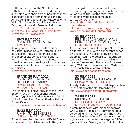Full Moon concert of the Quartetto EoS, with the most famous film soundtracks. alternated with short screenings of the most significant scenes from famous films, by Amarcort Film Festival. Flute Matteo Salerno, Violin Aldo Capicchioni, Viola Aldo Maria Zangheri, Violoncello Anselmo Pelliccioni Time: 9:30 PM Tickets on Liveticket and at the Blue Beach Bar in Riminiterme. Info: www.riminiclassica.it

#### 15-17 JULY 2022 RIMINI FAIR, VIA EMILIA JOY RIMINI

An original container, in the Rimini Fair pavilions, in keeping with Cartoon Club's activities on Piazzale Federico Fellini, and in other city venues, with eSports tournaments, new videogame titles, boardgame trials, meetings with characters, influencers, youtubers, authors, voice actors and artists.

Info: www.joyrimini.com

#### 15 AND 29 JULY 2022 RIMINI, VIALE PRINCIPE DI PIEMONTE, 56/62 RIMINI BEACH ARENA MAMACITA FESTIVAL

The Mamacita Festival arrives at the Rimini Beach Arena with exceptional artists: Ozuna, Tyga Elodie Friday 15 July and Anuel, Myke Towers, Ryan Castro, Fred de Palma Friday 29 July.

Info: www.facebook.com/riminibeacharena/

## 18-23 JULY 2022 RIMINI, GALLI THEATRE RUDOLF NUREEV CONTEST

3rd edition of the International Ballet Contest dedicated to Rudolf Nureev, with the goal

of passing down the memory of these extraordinary choreographic masterpieces which are still part of the repertoire of leading world ballet companies to new generations.

Open to the public. Admission fee for the final event.

Info: concours.rudolfnoureev@gmail.com www.concoursrudolfnoureev.org

#### 23 JULY 2022 RIMINI BEACH ARENA, VIALE PRINCIPE DI PIEMONTE, 56/62 GHALI IN CONCERT

A summer with music for rapper Ghali, who performs in Rimini with a concert produced by Live Nation. The artist brings his new album for Atlantic Warner/Sto Records on tour, available on 20 May and pre-launched by a performance on the notes of the new song, Walo, which involved over 100 dancers in front of Milan's Central Station. Info: www.riminibeacharena.com

#### 23 JULY 2022 RIMINI, PIAZZA SULL'ACQUA PRIVACY ON THE ROAD

A party dedicated to personal data protection in the setting of the old Roman bridge Info: www.associazionedirittiprivacy.it

#### 24 JULY 2022 RIMINI, GALLI THEATRE CROSSROADS 2022 NOA 30TH ANNIVERSARY TOUR

A prominent event with Israeli singer Noa, who will be in Rimini on 24 July for her tour celebrating her 30-year career. The Artist awarded for her efforts for peace and human rights - is accompanied on stage by Gil Dor (guitar), Ruslan Sirota (piano), Or Lubianiker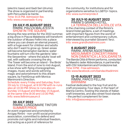(electric bass) and Gadi Seri (drums). The show is organized in partnership with Percuotere la mente.

Time: 9:15 PM. Admission fee. Info: www.crossroads-it.org

#### 29 JULY-15 AUGUST 2022 RIMINI, PIAZZA MALATESTA SHOW IN THE SQUARE

Among the new entries for the 2022 summer, a big show in Piazza Malatesta will transform the outdoor of Museo Fellini into a place where you can dream an eternal present. with a huge event for children and adults who don't want to grow up. Green areas will become Kensington Gardens; water fountains will turn into the gardens' lake the Serpentine - where the adults' boat will sail, with sailboats crossing the sky. The Tower will become an island - the Birds' Island. From the end of June to mid-August, a live show with flying choreographies, images, music and words will bring magic and astonishment to this dream square, by FestiGroup with Monica Manimone's Direction.

Schedule: every Friday and Saturday, from 29 July to 13 August, at 9:30 PM with re-runs also at 10:30 PM-Show re-runs also on Sunday 14 August and Monday 15 August, at the same time (9:30 and 10:30 PM). Info: www.fellinimuseum.it

#### 30 JULY 2022 RIMINI, LUNGOMARE TINTORI SUMMER PRIDE

An event organized and promoted by Arcigay Rimini - non-profit social promotion association, committed to defend and promote civil rights and individual freedom, and acting as a point of reference for

the community, for institutions and for organizations sensitive to LGBTQ+ topics. Info: www.summerpride.it

#### 30 JULY-10 AUGUST 2022 RIMINI'S GRAND HOTEL LA TERRAZZA DELLA DOLCE VITA

In the charming context of the Rimini's Grand Hotel gardens, a set of meetings with important figures from the world of entertainment and contemporary culture, interviewed by journalist Giovanni Terzi. Info: www.grandhotelrimini.com

# 6 AUGUST 2022 RIMINI, ARENA AGOSTINIANI NON DIMENTICA LA SOLIDARIETÀ

The Banda Città di Rimini performs, conducted by Maestro Jader Abbondanza, in partnership with CSV Volontarimini and Fondazione Isal. Time: 9 PM - Free admission. Info: www.facebook.com/bandacittadirimini

#### 12-15 AUGUST 2022 RIMINI, PARCO FELLINI BIRRIMINI

Festival dedicated to the hop fruit and its craft processing. Four days, in the heart of Marina Centro, hosting the stands of Italian craft breweries, and also street food stands - the perfect complement for beer.

Info: info@assovespucci.com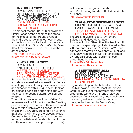#### 14 AUGUST 2022 RIMINI, VIALE PRINCIPE DI PIEMONTE, 56/62, BEACH ON THE FORMER COLONIA MARINA BOLOGNESE RIMINI BEACH ARENA SOCIAL MUSIC CITY RIMINI ON THE BEACH

The biggest techno DJs, on Rimini's beach. Rimini Beach Arena becomes the stage for the biggest underground event of the entire season, with a top-level lineup, and artists such as Paul Kalkbrenner - star o f the night - Loco Dice, Marco Carola, Salmo. Also, Armonica and Brina Knauss will be at the console.

Time: from 4 PM to 2 AM. Info: www.riminibeacharena.com

#### 20-25 AUGUST 2022 RIMINI FAIR AND HISTORICAL CENTRE MEETING PER L'AMICIZIA TRA I POPOLI (MEETING FOR FRIENDSHIP AMONG PEOPLES)

Summer festival with events, exhibits, music and shows. A markedly international festival, a melting pot of culturally-diverse accounts and experiences: this unique event tackles crucial topics, in a free open dialogue with the most interesting cultural, political and religious figures.

Titled "Una passione per l'uomo" (*Passion for mankind*), the 43rd edition of the Meeting prompts people to confront themselves and take part in a rich event calendar. On the final night, 24 August, presented by Lorenzo Baglioni, the winners of the Meeting Music Contest - 2nd edition (the musical contest for music artists and bands who want to get out there and win the important prize pool)

will be announced (in partnership with Mei-Meeting by Edichette Indipendenti di Faenza).

Info: www.meetingrimini.org

# 21 AUGUST-11 SEPTEMBER 2022 RIMINI, TEATRO DEGLI ATTI VIA CAIROLI 42 AND OTHER VENUES<br>THEATRE AND MUSIC FESTIVAL: LE CITTÀ VISIBILI - 10TH EDITION

Theatre and Music Festival by Tamara Balducci and Riccardo Amadei This year, for its 10th edition, the Festival will open with a special project, dedicated to Pier Vittorio Tondelli's novel, "Rimini" - a 12-hour happening that will be held on 21 August, and through which the city will be transformed by Tondelli's book, with performances throughout the city.

Time: 9 PM - Admission fee. Info: www.lecittavisibili.com

#### 2-4 SEPTEMBER 2022 MARCO SIMONCELLI MISANO WORLD CIRCUIT SAN MARINO AND RIMINI RIVIERA GRAND PRIX

Engines heat up for the 12th edition of the San Marino and Rimini's Coast Motorcycle Gran Prix, an event that attracts fans from around the world and millions of viewers every year. An extraordinary and spectacular weekend, inside and outside the racing track, in the heart of the Motor Valley. Info: www.misanocircuit.com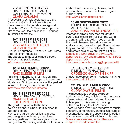#### 7-28 SEPTEMBER 2022 RIMINI, CINETECA AND GALLERIA DELL'IMMAGINE CLARA CALAMAI

A festival and exhibit dedicated to Clara Calamai, a 1930s diva. Born in Prato, the Actress - unforgettable protagonist of Luchino Visconti's *Ossessione* - pioneer film of the Neo Realism season - is buried in Rimini's cemetery.

#### 9-11 SEPTEMBER 2022 RIMINI, CLUB NAUTICO 2022 AQUABIKE ITALIAN **CHAMPIONSHIP**

Circuit – Endurance – Freestyle - 5th Trofeo Citta' di Rimini Aquabike The spectacular aquabike race is back, with over 120 participants. Info: www.cnrimini.com

#### 12-13 SEPTEMBER 2022 RIMINI, PIAZZALE FELLINI RAID SUISSE -RIMINI

An exciting international vintage car rally - a sports rally from the Alps to the sea: from Klosters to Rimini, where cars will be parked in front of the legendary Grand Hotel Info: www.raid.ch/de/raid/home

#### 16-18 SEPTEMBER 2022 RIMINI, PIAZZA SULL'ACQUA GIARDINI D'AUTORE – AUTUMN EDITION

The gardening fair with the best Italian gardeners is back in Rimini for its autumn edition.

Next to the gardeners, artisans, artists and designers, with many great ideas and suggestions to decorate your home and garden. Gardening workshops for adults

and children, decorating classes, book presentations, cultural walks and a great culinary offer.

Info: www.giardinidautore.net

#### 16-18 SEPTEMBER 2022 RIMINI HISTORICAL CENTRE AND PARCO FFLLINI 32ND GRAN PREMIO NUVOLARI

International regularity race for vintage cars. Classic cars from all over the world are engaged in a 1000 km race through the most charming historical centres, and, as usual, they will stop in Rimini, where they will parade in the historical centre and remain on display on Piazzale Fellini. Schedule: 16/09: arrival at 9 PM. 17/09: departure at 7 AM and return at 7 PM. 18/09: departure at 7 AM Info: www.gpnuvolari.it - org@gpnuvolari.it

#### 17-18 SEPTEMBER 20222 RIMINI, CLUB NAUTICO CROSS-ZONAL O'PEN SKIFF

2nd Adriatic Cross-Zonal - National Ranking Info: www.cnrimini.com

#### 22- 25 SEPTEMBER 2022 RIMINI, VARIOUS LOCATIONS GLORY DAYS IN RIMINI

The most awaited events by Bruce Springsteen's fans, which gathers hundreds of people from all over Italy and Europe, to take part in this event, in the sing of the New Jersey Rocker's music. The 23rd edition features four days of music, concerts, conferences, photo exhibits, book presentations, and the special participation of American rocker Willie Nile and his band. Some events are free, while others are subject to an admission fee.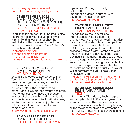Info: www.glorydaysinrimini.net - www.facebook.com/glorydaysrimini

#### 23 SEPTEMBER 2022 RIMINI, NUOVO PALAZZO DELLO SPORT (RDS STADIUM), PIAZZALE PASOLINI 1/C SFERA EBBASTA IN CONCERT FAMOSO TOUR

Popular Italian rapper Sfera Ebbasta - sales recordman in Italy and beyond - arrives in Rimini with a tour that reaches the main Italian cities, presenting a unique, futuristic show, in line with Sfera Ebbasta's international standards.

Postponed from April.

Info and tickets on TicketOne.

Time: 9 PM - Admission fee. Info: +39 0541 395698 info@stadiumrimini.net

#### 23-25 SEPTEMBER 2022 RIMINI, PARCO FELLINI MTI RIMINI EXPO

Expo fair dedicated to two-wheel tourism. Tourist and local promotion associations, manufacturing companies, and sector leaders meet enthusiasts and field professionals, in the unique setting of the Transitalia Marathon events and start. Two-wheel lovers will have the chance to interact directly with the display stands and the Federazione Motociclistica Italiana, to discover the news and enjoy the demo ride service offered by the motorbike companies present.

Info: www.mototurismoitaliaexpo.com

24-25 SETTEMBRE 2022 RIMINI, CLUB NAUTICO 19TH TROFEO CITTA' DI RIMINI Big Game in Drifting - Circuit Igfa Catch & Release Important big game in drifting, with equipment from all over Italy. Info: www.cnrimini.com

#### 25-26 SEPTEMBER 2022 RIMINI, PARCO FELLINI TRANSITALIA MARATHON

Recognized by the Federazione Internazionale Motociclistica as the main event of the Adventouring Tourism calendar worldwide, this non-competitive, itinerant, tourism event features a Rally-style navigation formula. The route crosses 6 regions, with 4 stops and over 1000 km to cover, to introduce the Italian peninsula's traditions. Among 2022's news: a new category - C1 Concept - entirely on secondary roads, crossing the most typical towns, with a special attention devoted to local wine and food products. The event will depart from the MTI Expo's Village, in Piazzale Fellini.

Participants will set off from Parco Fellini on Monday 26 September, at 8:30 AM. Info: www.transitaliamarathon.com

#### 27-30 SEPTEMBER 2022 RIMINI FAIR, VIA EMILIA TECNA

International Tile Industry Technologies and Supplies Exhibit. Every two years, this event showcases the best aesthetic and process innovations in the field, by hosting all the major companies and attracting a high quality of international buyers to Rimini. Info: www.tecnaexpo.com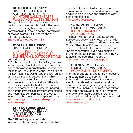#### OCTOBER-APRIL 2022 RIMINI, GALLI THEATRE AND TEATRO DEGLI ATTI AMINTORE GALLI THEATRE PLAYS AND BALLETS SEASON

The spotlights on Rimini's stages are back on, with a schedule filled with classic and contemporary titles, and the best performers in the Italian scene, performing at the renovated Galli Theatre and at the Teatro degli Atti.

Shows info: www.teatrogalli.it

#### 12-14 OCTOBER 2022 RIMINI FAIR, VIA EMILIA TTG - TRAVEL EXPERIENCE / SIA HOSPITALITY DESIGN / SUN BEACH & OUTDOOR STYLE

59th edition of the TTG Travel Experience, a B2B International Tourism Trade Fair, the most important event for Italian tourism products and to showcase international destinations to the market. Simultaneously, the 71st edition of the SIA Hospitality Design and the 40th edition of the SUN Beach & Outdoor Style, which complete the marketplace with services and furniture for the hospitality and beach tourism sector. A full schedule of events, talks, and conferences, to provide updated and perspective tools to travel intermediaries and hospitality companies, on the way to innovation: the tourism marketplace in Italy Info: www.ttgexpo.it - www.siaexpo.it www.sunexpo.it

#### 12-14 OCTOBER 2022 RIMINI FAIR, VIA EMILIA

– EAST ENTRANCE **SUPERFACES** 

The B2B marketplace dedicated to innovative interior, design and architecture

materials. An event to discover the new horizons of architecture and interior design. and develop business opportunities with field professionals. Info: www.superfaces.it.

#### 12-14 OCTOBER 2022 RIMINI FAIR, VIA EMILIA IBE INTERMOBILITY AND BUS EXPO

The main Mediterranean and Southern Europe bus sector fair, showcasing public and private road transportation companies. On its 10th edition, IBE has become a reference show for the entire tourism and line transportation field, and a qualified event for debates on the most challenging topics of the bus travel industry. Info: www.internationalbusexpo.it

#### 8-11 NOVEMBER 2022 RIMINI FAIR, VIA EMILIA ECOMONDO – KEY ENERGY

International Material and Energy Recovery and Sustainable Development Fair Ecomondo is the reference European event for sustainable transition and the new circular and regenerating economy models. Key Energy is the reference fair for renewable energy, accumulation systems, energy efficiency, urban regeneration, sustainable mobility, lighting and smart grid. Info: www.ecomondo.com www.keyenergy.it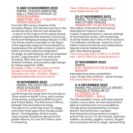#### 11 AND 13 NOVEMBER 2022 RIMINI, TEATRO AMINTORE GALLI, PIAZZA CAVOUR, 22 DON GIOVANNI AMINTORE GALLI THEATRE 2022 OPERA SEASON

From the 18th century theatre of the Versailles Palace, Don Giovanni arrives in the acclaimed set by director Ivan Alexandre - a return to the origins of this playful drama, created in partnership between Lorenzo Da Ponte and Wolfgang Amadeus Mozart in 1787. The shows sheds a new light on the figure of the legendary seducer, immortalized in a masterpiece that will take a place in opera's history and the collective imagination. On stage, an international cast accompanied by the "Luigi Cherubini" Choir and Junior Orchesta. With sets and costumes by Antoine Fontaine, and evocative light design by Tobias Hagström-Ståhl. Schedule: Friday 11 November at 8 PM; Sunday 13 November at 3:30 PM Admission fee. Info: +39 0541 793811 biglietteriateatro@comune.rimini.it

# 19 NOVEMBER 2022 RIMINI, PALAZZO DELLO SPORT **LUCHÈ IN CONCERT**

Luchè brings the songs from his new album, 'Dove volano le Aquile' in tour, with a series of live shows, produced by BPM Concerti and Trident Music. The first show in Rimini, between hits and historical songs. This album is Luchè's big return on stage, more than three years from his last studio album. The Neapolitan Artist's trophy case includes 18 platinum albums and 9 golden albums, for over 627 million users in streaming.

Time: 9 PM Info: www.tridentmusic.it www.stadiumrimini.net

#### 22-27 NOVEMBER 2022 RIMINI, TEATRO DEGLI ATTI AND OTHER VENUES AMARCORT FILM FESTIVAL

15th edition of the Short Film Festival dedicated to Federico Fellini. A week of appointments in various settings of the historical centre, with screenings of all the finalist short films in the 9 sections. "Un Felliniano nel Mondo" award to one of Fellini's historical friends and collaborators. Special cinema-related events with international quests.

Time: every day, from 10 AM to 11:30 PM. Info: +39 327 9537101 www.amarcort.it

# 27 NOVEMBER 2022<br>RIMINI RIMINI 11TH TROFEO CITTÀ DI RIMINI INDOOR

Interregional archery competition A.S.D. Arcieri Citta' di Rimini - Seven Arrows. Info: www.fitarco-italia.org

#### 3-4 DECEMBER 2022 RIMINI, PALAZZO DELLO SPORT, PIAZZALE PASOLINI 1/C LE CIRQUE ALIS CHRISTMAS – GALA

The Alis revelation-show, with international modern circus stars. An international Gran Gala of contemporary circus excellence. The Alis show is presented by Le Cirque World's Top Performers, a project that interprets and promotes a modern, animal-free circus. For 90 minutes, tightrope walkers, acrobats, jugglers, clowns, singers and musicians will be on stage, representing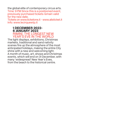the global elite of contemporary circus arts. Time: 9 PM Since this is a postponed event, previously purchased tickets remain valid for the new date. Tickets on www.ticketone.it - www.alisticket.it Info: www.lecirquewtp.it

#### 1 DECEMBER 2022- 6 JANUARY 2023 RIMINI, THE LONGEST NEW YEAR'S EVE IN THE WORLD

The light displays, exhibitions, Christmas markets, traditional and sand nativity scenes fire up the atmosphere of the most anticipated holidays, making the entire City shine with a new and welcoming light. A month of music, art, shows and Christmas events, which will end on 31 December, with many 'widespread' New Year's Eves, from the beach to the historical centre.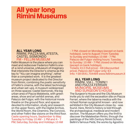# All year long Rimini Museums

#### ALL YEAR LONG RIMINI, PIAZZA MALATESTA, CASTEL SISMONDO FM - FELLINI MUSEUM

Fellini Museum is the place where you can meet and rediscover Federico Fellini's oneof-a-kind universe, a Museum of imaginary that interprets the Director's cinema as the key to "You can imagine anything", rather than a completed work. It is the greatest museum project dedicated to the Director from Rimini, combining the poetic sensitivity of Fellini's cinema, with the latest technology and urban set-ups. A museum widespread on three spaces: Castel Sismondo, the big urban area of Piazza Malatesta, with green areas, show and art exhibit arenas, and Palazzo del Fulgor, with the historical movie theatre on the ground floor, and spaces devoted to information, study and research on the upper floors, with the Digital Archive, the World Room, the Cinemino, the Convivio, and other Fellini-like visions on the third floor. Caste opening hours, September to May: Tuesday to Friday 10 AM - 1 PM and 4 - 7 PM; Saturday, Sunday and Holidays 10 AM

- 7 PM; closed on Mondays (except on bank holidays). June to August: From Tuesday to Sunday and Holidays 10 AM - 7 PM. Palazzo del Fulgor visiting hours: Tuesday to Sunday: 10 AM - 7 PM; closed on Monday (except on bank holidays). Tickets: €12 (full price) - €8 (discounted price). Palazzo del Fulgor only: €3 Info: +39 0541.704494 www.fellinimuseum.it

#### ALL YEAR LONG RIMINI, VIA L. TONINI 1 AND PIAZZA FERRARI MUNICIPAL MUSEUMS AND SURGEON'S HOUSE

The Surgeon's House and the City Museum invite you to visit the excavation site on Piazza Ferrari, where the taberna medica with the richest Roman surgical kit known - and now exhibited in the City Museum close-by - was found. Here, Rimini's history is told through the archaeological, medieval and modern section. The Museum offers you the thrill to discover the Malatestian Rimini, through the paintings of the 14th Century Rimini School, Bellini's famous Pietà, the works by Agostino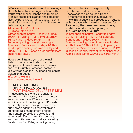di Duccio and Ghirlandaio, and the paintings of the 17th Century Romagna School, in the works by Cagnacci, Centino and Guercino. A unique dream of elegance and seduction given by René Gruau, famous advertisement creator for the most important 20th century fashion magazines.

Admission fee:  $\epsilon$  7 full price, € 5 discounted price. Winter opening hours: Tuesday to Friday 10 AM - 1 PM and 4 PM - 7 PM; Saturday, Sunday and holidays 10 AM - 7 PM. Summer opening hours (June - August): Tuesday to Sunday and holidays 10 AM -7 PM; night openings on Wednesday and Friday 9 - 11 PM. Closed on Monday (except on bank holidays).

**Museo degli Sguardi**, one of the main Italian museums dedicated to extra-European cultures from Africa, Oceania and pre-Columbian America, hosted in Villa Alvarado, on the Covignano hill, can be visited on request. Info: 0541.793851

www.museicomunalirimini.it

#### ALL YEAR LONG RIMINI, PIAZZA CAVOUR PART, PALAZZI DELL'ARTE RIMINI

A museum space where the ancient envelops contemporary arts, in a mutual enriching embrace. Where ancient is the exhibit space of the Arengo and Podestà medieval palaces - brought back to their original splendour, by a renovation and architectural enhancement project. And contemporary is the eclectic and variegated offer of major 20th century and new millennium artworks, created by Fondazione San Patrignano. A growing

collection, thanks to the generosity of collectors, art dealers and artists. These spaces also house a fresco - a masterpiece of Italian Medieval art. The exhibit space also spreads to an outdoor public space, which can be accessed for free during the museum opening hours, and dedicated to contemporary art: the **Giardino delle Sculture**.

Winter opening hours: Tuesday to Friday 10 AM - 1 PM and 4 PM - 7 PM; Saturday, Sunday and holidays 10 AM - 7 PM. Summer opening hours: Tuesday to Sunday and holidays 10 AM - 7 PM; night openings on summer Wednesday and Friday 9 - 11 PM. Closed on Monday (except for bank holidays). Admission fee. Info: www.palazziarterimini.it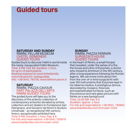# Guided tours

#### SATURDAY AND SUNDAY RIMINI, FELLINI MUSEUM CASTEL SISMONDO GUIDED TOURS

Guided tours to discover Fellini's world inside the newly-inaugurated Fellini Museum. Time: 5 PM. Fee: €8, duration: 1 hour, for up to 15 participants. Booking required on www.ticketlandia. com/m/event/fm-visiteguidate Info: +39 0541 793781 www.fellinimuseum.it

#### **SATURDAY** RIMINI, PIAZZA CAVOUR PART PALAZZI DELL'ARTE RIMINI GUIDED TOURS

The guided tours will take you to the discovery of the eclectic collection of contemporary artworks donated by artists, collectors and art dealers to Fondazione San Patrignano, and Giovanni da Rimini's Giudizio Universale - an exceptional 14th century fresco, exceptionally exhibited here. Time: 5 PM. Duration: 1 hour. Fee: € 6 For info and reservations: +39 0541.793879 www.ticketlandia.com/m/musei-rimini

#### **SUNDAY** RIMINI, PIAZZA FERRARI SURGEON'S HOUSE GUIDED TOURS

In the heart of Rimini, a small Pompei that revealed, under the ashes of a fire, the house and clinic of Eutyches, a doctor who moved to Ariminum in the 4th century, after a long experience following the Roman legions. We can know more about him from the one-of-a-kind surgical kit with over 150 instruments that Eutyches kept in his taberna medica. A prestigious domus, decorated by mosaics, frescoes and sophisticated furniture, such as the precious and rare glass picture with fishes on a sea background.

#### Time: 10:30 AM. Fee: € 5 Duration: approx. 1 hour.

For info and reservations: +39 0541. 793851 www.ticketlandia.com/m/musei-rimini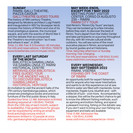#### **SUNDAY** RIMINI, GALLI THEATRE, PIAZZA CAVOUR GALLI THEATRE GUIDED TOURS

The history of 19th century Theatre, designed by Modena architect Luigi Poletti and inaugurated in 1857 by Giuseppe Verdi, crosses the history of Rimini and one of its most prestigious spaces, the municipal square, and with the events of World War II and the debate that accompanied the Theatre's reconstruction "as it was and where it was", in 2018.

Time: 11 AM. Fee: € 5 Duration: 45 minutes. For info and reservations: +39 0541.793879 www.ticketlandia.com/m/musei-rimini

#### EVERY LAST SATURDAY OF THE MONTH BIBLIOTECA GAMBALUNGA, VIA GAMBALUNGA 27, RIMINI HISTORICAL CENTRE MERAVIGLIOSA BIBLIOTECA: FREE GUIDED TOUR OF THE ANCIENT HALLS TO DISCOVER BIBLIOTECA GAMBALUNGA'S HISTORICAL HERITAGE

An invitation to visit the ancient halls of the 17th century Gambalunga palace, which preserves prestigious books and precious furniture of the first public library in Italy. Guided tour time: 11 AM. Admission is limited. Booking required at +39 0541 704326 (from the 15th day of each month, subject to availability). Free guided tours for groups can be requested by writing an email to fondi.antichi@comune.rimini.it. Admission limited to 10 people at once. Info: gambalunghiana@comune.rimini.it

#### MAY WEEK-ENDS, EXCEPT FOR 7 MAY 2022 MEETING POINT: VISITOR CENTER, CORSO DI AUGUSTO 235 – RIMINI RIMINI CITY TOUR

Visit Rimini's "Rimini City Tours" are back. They can be booked up to a few minutes before they start, to discover the best of Rimini. Tours depart from the Visitor Center and take participants on a journey throughout the city, with 90-minute cultural strolls outdoors. You will see some of the most evocative places in Rimini, accompanied by tourist guides and art historians. Time: Saturday afternoon or Sunday morning. Fee-charging.

For info and reservations: +39 0541 51441 www.visitrimini.com/esperienze-rimini/

#### EVERY WEDNESDAY, MAY-SEPTEMBER 2022 RIMINI, VISERBA FISHING OFF THE COAST OF RIMINI

An opportunity both for expert fisherman, and for anyone who has never tried before and wants to do this experience out at sea. Rimini's water are filled with mackerels, horse mackerels, frigate tuna, bluefish and - with a little bit of luck - a lot more. Accompanied by a skipper, this will be the perfect chance to get to know the different fishing methods, such as spinning and bottom fishing, and spend a pleasant morning, fishing on the Adriatic sea. If you don't want to bring your own fishing rod, equipment and baits are available

Time: 6 AM. Admission fee. Info: +39 0541.53399 www.visitrimini.com/esperienze-rimini/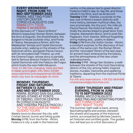#### EVERY WEDNESDAY NIGHT, FROM JUNE TO MID-SEPTEMBER 2022 RIMINI, MEETING POINT: VISITOR CENTER, CORSO DI AUGUSTO 235 RIMINI CITY TOUR: RIMINI'S WONDERS

To the discovery of "I Tesori di Rimini" (Rimini's treasures): Roman Rimini, between the Arco di Augusto, the Amphitheatre, the Surgeon's House (outside only), and Ponte di Tiberio. Renaissance Rimini, with the Malatestian Temple and Castel Sismondo (outside only), walking on the streets of the historical centre, alongside Piazza Cavour, with its renovated Galli Theatre, up until the Cinema Fulgor, whose story is partially tied to famous director Federico Fellini, and Castel Sismondo with the Palazzo del Fulgor, which hosts the new Fellini Museum. Time: 21 AM. Fee-charging. Visits are held in Italian and English. Info: 0541.53399 www.visitrimini.com/esperienze/301963 rimini-city-tour-le-meraviglie-di-rimini

#### MONDAY, THURSDAY, FRIDAY AND SATURDAY, BETWEEN 13 JUNE AND MID-SEPTEMBER 2022 RIMINI, BORGO SAN GIULIANO, NEWS-STAND AT PONTE DI TIBERIO, VISITOR CENTER IN CORSO D'AUGUSTO AND VISERBA PIAZZA PASCOLI TO THE DISCOVER OF RIMINI - GUIDED TOURS

Weekly tours to discover the city, with Cristian Savioli, tourist and hiking guide. **Monday** 9 PM, from the Ponte - Rimini, Federico's city: a walk in the historical

centre, in the places tied to great director Federico Fellini's day-to-day life, and those rebuilt in his films, such as Amarcord. **Tuesday** 9 PM - Viserba, a surprise on the sea: one of Rimini's beach districts with more history, between mythical villas, the new promenade, the tiny port, the mills pit, Piazza Pascoli, the historical hotels, and finally the stories linked to great tenor from Cesena, Alessandro Bonci, and to poet Elio Pagliarani, from Viserba. Without forgetting string making and... poetry in dialect. **Friday** 9 PM from the Visitor Center - Rimini, a constant surprise: to the discovery of two sides of the same coin: the Roman Rimini and the 'renovated' Rimini of the last years. An ancient heart embraced by the beauty and the atmospheres of the new urban redevelopments.

**Saturday** 9 PM - Borgo San Giuliano: a walk between the streets of the most fascinating district of the city, among Fellini-inspired stories, murales, memories and seafaring traditions, departing from the mythical Ponte di Tiberio.

For info and reservations: +39 333 4844496 cristiansavioli@protonmail.com

#### EVERY THURSDAY AND FRIDAY EVENING, FROM 16 JUNE TO 15 SEPTEMBER 2022 RIMINI, ARCO D'AUGUSTO (MEETING AND DEPARTING POINT) NOTTURNO D'ARTE (ART NIGHT TOUR)

The summer night walk is back, among fascinating lights and scenes, between the streets and squares of the historical centre, accompanied by Michela Cesarini, art historian and certified guide. This guided tour will lead you to a first discovery of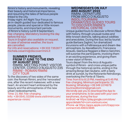Rimini's history and monuments, revealing their beauty and historical importance, and resuming the tales of famous people linked to the city.

Friday night: Art Night Tour Focus on, an in-depth guided tour dedicated to famous people, places and special or little-known monuments, and important periods of Rimini's history (until 9 September). Fee-charging. Mandatory booking the day before the tour.

Tours in English also available on request. In case of adverse weather, the tours are cancelled.

For info and reservations: +39 333 7352877 michela.cesarini@discoverrimini.it

#### SUMMER FRIDAYS, FROM 17 JUNE TO THE END OF AUGUST 2022

RIMINI, MEETING POINT: VISITOR CENTER, CORSO D'AUGUSTO 235 RIMINI - ROMAN RIMINI CITY TOUR

To the discovery of two sides of the same coin: the Roman Rimini, and the 'renovated' one, after the recent makeover, with a new heart. An ancient heart embraced by the beauty and the atmospheres of the new urban redevelopments.

#### Time: 21 AM. Fee-charging.

Info: +39 0541.53399 www.visitrimini.com/ esperienze-rimini/

#### WEDNESDAYS ON JULY AND AUGUST 2022 RIMINI, DEPARTURE FROM ARCO D'AUGUSTO INSOLITOURIMINI DRAMATIZED GUIDED TOURS TO DISCOVER RIMINI'S HISTORICAL CENTRE

Unique guided tours to discover a Rimini filled with history, through unusual routes and little-known districts, talking about oddities and anecdotes. During the tour, led by tourist guide Barbara Zaghini, fun dramatized incursions with a Felliniesque and dream-like atmosphere, by AlexiaBianchi, Francesca Airaudo, Gianluca Reggiani e Marco Sanchini, will surprise the participants, involving them in an exciting experience, and giving them a new vision of Rimini.

Tours depart from the Arco di Augusto symbol of Rimini - and cross unique paths through the historical centre, ending in the amazing Borgo San Giuliano, with a tasty drink at sunset, by the Ristorante Retroborgo, overlooking the Ponte di Tiberio.

Time: from 6 to 8:15 PM, meeting at 5:45 PM. Fee-charging. Minimum participants: 20. Booking: WhatsApp +39 349 1074979 tourinsolitorimini@gmail.com We kindly ask you to download the App to

your smartphone, to be used with your own earphones, during the tour

Android  $\rightarrow$  https://play.google.com/store/ apps/details?id=com.voxtours.vow;  $iPhone \rightarrow https://apps.apple.com/it/app/vox-$ 

connect/id1499323695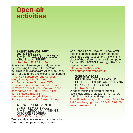# Open-air activities

#### EVERY SUNDAY, MAY-OCTOBER 2022 RIMINI, PIAZZA SULL'ACQUA – PONTE DI TIBERIO HATHA YOGA SUNDAY

An occasion to relax your body and mind, by practising traditional Hatha Yoga, by RiminiYogi. Classes are 70-minute-long, both for beginners and expert practitioners. Time: May, September, and October, every Sunday at 10 AM; June, July and August, every Sunday at 7 PM. There are mats available on site, if you don't have one with you. Book your spot on WhatsApp at +393315285154 or at the Instagram page link www.instagram.com/riminiyogi/ Participation subject to free contribution.

#### ALL WEEKENDS UNTIL 20 SEPTEMBER 2022 RIMINI, CIRCOLO UP TENNIS DI TORRE PEDRERA UP SUMMER CUP

Tennis and padel amateur championship. Teams will compete during summer

week-ends, from Friday to Sunday. After meeting on the beach to play, compete and share a sports vacation, the winning clubs of the different stages will compete for the UPSUMMERCUP trophy, in the final September master. Info: www.facebook.com/

circolouptennistorrepedrera/

#### 2-26 MAY 2022 RIMINI, PIAZZA SULL'ACQUA PONTE DI TIBERIO AND PEDANA IN PIAZZALE BOSCOVICH FLUXO START

Outdoor training at different intensity levels, guided by professional instructors, in Rimini's most evocative places. Time: From Monday to Thursday, 1:30 - 2:30

PM. Fee-charging. Info: +39 347-1224480 www.fluxomovement.it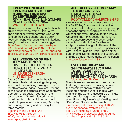#### EVERY WEDNESDAY EVENING AND SATURDAY MORNING, FROM MAY TO SEPTEMBER 2022 RIMINI, BAGNO 26, LUNGOMARE CLAUDIO TINTORI, 30/A WALK ON THE BEACH

50 minutes of power walking on the beach, guided by personal trainer Elen Souza. The perfect activity for anyone who wants to keep their good shape, and do so in good company, without any age limitations, enjoying the beach as an open-air gym Time: May to September: Wednesday at 7:15 PM and Saturday at 8 AM; October - April: Wednesday at 6:30 PM. Fee-charging. Info: +39 348 0981594 info@elensouza.com

#### ALL WEEKENDS OF JUNE, JULY AND AUGUST RIMINI, IN TOUR BETWEEN BEACH RESORTS 1 AND 150 – RIMINI SUD UN MARE DI ENERGIA – 1ST EDITION

Over 80 free workouts on the beach of the new Metabolic Walking discipline, which includes walking, boxing and dance, for athletes of all ages. The event - touring all the beaches partners of the Cooperativa Operatori di Spiaggia - counts on the participation of two dedicated trainers (who invented this discipline), who will conduct open sessions on every Saturday and Sunday evening and morning, for three months.

Opening event: 3 and 4 June Info: +39 0541 389308 info@camminatametabolica.it www.spiaggiarimini.net

#### ALL TUESDAYS FROM 31 MAY TO 9 AUGUST 2022 RIMINI SUD'S BEACH, RESORTS 54-55 FOOTVOLLEY CHAMPIONSHIPS

A regular even in the summer calendar, the FootVolley Championship is back on the beach, in ten stages. The championship opens the summer sports season, which will continue every Tuesday, for ten weeks. A staple of the Rimini coast, FootVolley is a mix between soccer and beach volley, a spectacular discipline, for athletes and public alike. Along with this event, the FootVolley Rimini association - in partnership with Piacere Spiaggia Rimini - holds other outstanding events, such as the SuperCups and the BeTable Tournaments on the beach. Info: www.footvolleyrimini.it

#### EVERY SATURDAY AND WEDNESDAY, FROM 4 JUNE TO 20 AUGUST 2022 RIMINI, SAN GIULIANO FREE BEACH - DARSENA AREA SUP YOGA ON WATER

Rimini is sea and relaxation, the chance to do Yoga on waves, choosing between the morning's energy, with breakfast included, and the sunset's magic, with drinks on the water. Classes are 90 minute long, both for beginners and expert practitioners. By RiminiYogi. Meeting point: "East Coast" kiosk on the beach.

Time: every Saturday morning at 10 AM; every Wednesday evening at 7 PM. Fee: 20 € including brunch / drink. Only 8 seats per class, booking required on WhatsApp at +39 331 528 5154.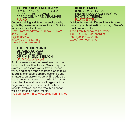#### 13 JUNE-1 SEPTEMBER 2022 RIMINI, PIAZZA SULL'ACQUA, PIAZZALE BOSCOVICH, PARCO DEL MARE MIRAMARE **FLUXO**

Outdoor training at different intensity levels, guided by professional instructors, in Rimini's most evocative locations.

Time: From Monday to Thursday, 7 - 8 AM and 7 - 9 PM Fee-charging. Info: +39 347-1224480 www.fluxomovement.it

#### THE ENTIRE MONTH OF AUGUST 2022 RESORTS 20-150 OF RIMINI SUD'S BEACH UN MARE DI SPORT

For four weeks, a widespread event on the beach facilities. It includes 100 micro sports events, such as foot volley, tavball, beach volley and beach tennis matches, open to all sports aficionados, both professionals and amateurs. Un Mare di Sport will include also important charity events to collect funds for local charities and non-profit organizations. Registration is done directly at the beach resorts involved, and the weekly calendar will be posted on social media.

Free admission. Info: www.spiaggiarimini.net

#### 13 SEPTEMBER-3 NOVEMBER 2022 RIMINI, PIAZZA SULL'ACQUA – PONTE DI TIBERIO FLUXO EXTRA

Outdoor training at different intensity levels, guided by professional instructors, in Rimini's most evocative places.

Time: From Monday to Thursday, 1:30 - 2:30 PM. Fee-charging. Info: +39 347-1224480 www.fluxomovement.it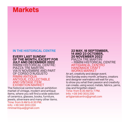# **Markets**

## **IN THE HISTORICAL CENTRE**

#### EVERY LAST SUNDAY OF THE MONTH, EXCEPT FOR JULY AND DECEMBER 2022 RIMINI HISTORICAL CENTRE: PIAZZA TRE MARTIRI, VIA IV NOVEMBRE AND PART OF CORSO D'AUGUSTO RIMINI ANTIQUA ANTIQUE, COLLECTABLE AND VINTAGE ITEM EXHIBITION MARKET

The historical centre hosts an exhibition market of vintage, modern and antique items, where you will find a wide selection of ceramics, glasses, books, furniture, jewels, silverware and many other items. Time: from 9 AM to 6:30 PM. Info: +39 340 3031200 riminiantiqua@gmail.com

#### 22 MAY, 18 SEPTEMBER, 14 AND 23 OCTOBER, 20 NOVEMBER 2022 PIAZZA TRE MARTIRI – RIMINI HISTORICAL CENTRE ARTIGIANI AL CENTRO HANDMADE CRAFT WORKS MARKET

An art, creativity and design event. One Sunday every month, artisans, creators and designer wannabes will wait for you, to show you what their passion and creativity can create, using wood, metals, fabrics, yarns, clay and forgotten object Time: from 9.30 AM to 7 PM. Info: +39 340 3031200 artigianialcentro@gmail.com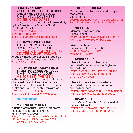#### SUNDAY 29 MAY, 25 SEPTEMBER, 30 OCTOBER AND 27 NOVEMBER 2022 RIMINI, VIA IV NOVEMBRE DOMENICHE AD ARTE

Local art, crafts and collector's item market, by the Associazione Artistica Elio Morri e Goffredo Pizzioli.

Time: from 10 AM to 7 PM. Info: +39 338 8270486 assartisticamorripizzioli@legalmail.it

#### FRIDAYS FROM 3 JUNE TO 9 SEPTEMBER 2022 RIMINI, PIAZZA CAVOUR FRIDAY EVENINGS IN THE CITY CENTRE AND ART FRIDAYS

Antique, vintage, collectibles, artistic craft and artwork market. By Cocap. s.c.a.r.l Time: 6:30 - 11:30 PM

#### EVERY WEDNESDAY FROM 6 JULY TO 27 AUGUST 2022 RIMINI, PIAZZA CAVOUR MEMORIES IN THE ATTIC

In this market, kids between 6 and 12 years of age sell their old toys, videogames, collections, stuffed animals, comic books, books and many other children's items. Time: 5:30 - 11 / 11:30 PM Info: +39 0541.781108 www.cocap.it

# **ON THE BEACH**

# MARINA CITY CENTRE:

Artistic craft market. Summer art crafts, food and miscellaneous market Rimini, viale Vespucci Every Thursday, between 6 PM and Midnight - From 2 June to 15 September 2022, and 20, 21 and 22 May 2022

# TORRE PEDRERA:

Mercatorre, local artworks and antiques market fair Via Tolmetta Every Monday, between 7:30 and 11:30 PM - From 30 May to 12 September 2022

## VISERBA:

'Mercatino degli Artigiani' Piazza Pascoli Every Tuesday, between 6 and 11:30 PM - From 7 June to 6 September 2022.

'Viserba vintage' Piazza Pascoli/via Dati, 180 23, 30 June and 7, 14 July – from 6 to 11:30 PM

# VISERBELLA:

'Mercatino estivo di Viserbella' via Porto Palos between via Pagliarani and via Spina Every Thursday from 8 PM to Midnight - From 26 May to 8 September and on 27, 28 May 2022

'Mercatino delle idee di Viserbella' via Porto Palos between via Duranti and via Marchetti Every Sunday, between 8 PM and Midnight - From 29 May to 11 September 2022.

# RIVABELLA:

'Hand Made. Con le Mani' crafts market. Piazzale Adamello Every Friday, between 6 and 11:30 PM - From 10 June to 16 September 2022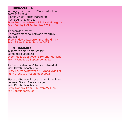## RIVAZZURRA:

'Art'Ingegno' - Crafts, DIY and collection items market fair Giardini, Viale Regina Margherita, from Bagno 120 to 128. Every Monday, between 8 PM and Midnight - From 30 May to 5 September 2022

'Bancarelle al mare' On the promenade, between resorts 120 and 128.

Every Friday, between 6 PM and Midnight - From 3 June to 9 September 2022

## MIRAMARE:

'Miramare's crafts market fair' Lungomare Spadazzi Every Tuesday, between 6 PM and Midnight - From 7 June to 20 September 2022

'La Fiera di Miramare', traditional market Viale Oliveti - beach side Every Thursday, between 5 PM and Midnight - From 9 June to 27 September 2022

'Festa dei Balocchi', toys market for children between 5 and 12 years of age Viale Oliveti - beach side Every Monday, from 6 PM, from 27 June to 5 September 2022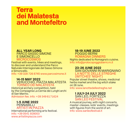# Terra dei Malatesta and Montefeltro

#### ALL YEAR LONG PARCO SASSO SIMONE E SIMONCELLO **MICROCOSMOS**

Festival with events, hikes and meetings, to discover and understand the Parco Naturale Interregionale del Sasso Simone e Simoncello.

Info: +39 328 726 8745 www.parcosimone.it

#### 14-15 MAY 2022 VERUCCHIO, PIAZZA MALATESTA TORNEO DEI MALATESTA

Historical archery competition, held by the Compagnia La Cernia dei Lunghi archi di San Marino.

Admission fee. Info: +39 349 6171624

#### 1-5 JUNE 2022 PENNABILLI ARTISTI IN PIAZZA

International performing arts festival. Info: +39 0541 928003 www.artistiinpiazza.com

#### 18-19 JUNE 2022 POGGIO BERNI ROMAGNA DINNERS

Nights dedicated to Romagna's cuisine. Info: info@prolocopoggioberni.rn.it

#### 23-26 JUNE 2022 SAN GIOVANNI IN MARIGNANO LA NOTTE DELLE STREGHE (WITCHES' NIGHT)

Popular street theatre, shows, medicinal herbs market and the big witch stake on 26 June.

Info: www.lanottedellestreghe.net

#### 1 JULY-24 JULY 2022 SAN LEO, FORTEZZA SAN LEO FESTIVAL

A musical journey, with night concerts, master-classes, kids' events, meetings with figures from the world of art. Info: www.sanleofestival.it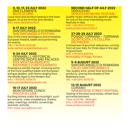#### 3, 10, 17, 24 JULY 2022 SAN CLEMENTE NOTE DI VINO

Local wine and product tasting in the town square, lit up by torches and candles. Info: www.sanclemente.it

#### 8-17 JULY 2022 SANTARCANGELO DI ROMAGNA SANTARCANGELO FESTIVAL

One of the most prestigious and innovative European theatre, ballet and performing art events.

Info: +39 0541 626185

www.santarcangelofestival.com

#### 9-24 JULY 2022 PENNABILLI, HISTORICAL CENTRE SHOPS AND PALACES 51ST MOSTRA MERCATO NAZIONALE D'ANTIQUARIATO

Prestigious exhibit market, involving some of the most qualified Italian and European antique dealers, with items ranging from the Middle Ages to the Modern Era. Info: +39 0541 928578 www.pennabilliantiquariato.net

#### 16-17 JULY 2022 MONTEFIORE CONCA ROCCA DI LUNA

Exciting shows under the moonlight, such as concerts, video installations, theatre plays, meetings, exhibits, screenings and kids' activitie. Info: www.roccadiluna.com

#### SECOND HALF OF JULY 2022 **VERUCCHIO** VERUCCHIO MUSIC FESTIVAL

Quality music without any specific gender, for one of the most interesting music festivals in Italy. Info: +39 0541 670222 www.prolocoverucchio.it

27-28-29 JULY 2022 POGGIO TORRIANA – TORRIANA SCORTICATA, LA COLLINA DEI PIACERI

A showcase of gourmet delicacies, coming from all over Italy, for three days in the sign of good food.

Info: +39 0541.629701 Municipality of Poggio Torriana

#### 5-6 AUGUST 2022 SANTARCANGELO DI ROMAGNA CALICI SANTARCANGELO

Top-quality wine, street food and local products, among the streets of this Malatesta town. nfo: +39 0541 624270

## 13-15 AUGUST 2022 CORIANO

SANGIOVESE STREET FESTIVAL Tasting of the best local wines, street food and entertainment. Time: 6:00 PM - Midnight Info: +39 0541.656255

www.prolococoriano.it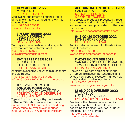#### 18-21 AUGUST 2022 MONDAINO PALIO DEL DAINO

Medieval re-enactment along the streets of the ancient town, competing to win this coveted title.

Info: +39 0541 869046 www.mondainoeventi.it

#### 3-4 SEPTEMBER 2022 POGGIO TORRIANA – MONTEBELLO HONEY FESTIVAL

Two days to taste beehive products, with craft markets and entertainment. Info: +39 0541.629701 Municipality of Poggio Torriana

#### 10-11 SEPTEMBER 2022 VERUCCHIO – HISTORICAL CENTRE FIERA DI SANTA CROCE

Ancient town festival, devoted to husbandry and old trades.

Time: Saturday night and Sunday Info: +39 0541 670222 Pro Loco Verucchio

#### 11-18-25 SEPTEMBER AND 2 OCTOBER 2022 PERTICARA DI NOVAFELTRIA POLENTA AND UNDERBRUSH FRUITS FESTIVAL

Typical food products, with polenta made with over 13 kinds of water-milled maize. Guided tours to Sulphur, Perticara's Mining History Museum, available on request. Info: +39 0541 927576 (proloco Perticara)

#### ALL SUNDAYS IN OCTOBER 2022 SANT'AGATA FELTRIA NATIONAL FESTIVAL OF WHITE TRUFFLE

This precious product is presented through a commercial and gastronomic path, and is enhanced by the sophisticated truffle-based recipes prepared.

Info: www.prolocosantagatafeltria.com

#### 9-16-23-30 OCTOBER 2022 MONTEFIORE CONCA CHESTNUT FESTIVAL

Traditional autumn event for this delicious fruit of the forest. Info: +39 0541 980035 www.comune.montefiore-conca.rn.it

#### 11-12-13 NOVEMBER 2022 SANTARCANGELO DI ROMAGNA, TOWN SQUARES AND STREETS FIERA DI SAN MARTINO

Known as "La Festa dei Becchi", is one of Romagna's most important trade fairs. Once a very popular livestock market, now it is mainly dedicated to food items. Info: +39 0541 624270 www.santarcangelodiromagna.info

## 13 AND 20 NOVEMBER 2022 TALAMELLO, HISTORICAL CENTRE

FORMAGGIO DI FOSSA FESTIVAL

Festival of the cheese matured in pits and called Ambra di Talamello, which, according to tradition, is buried in August and unburied in November.

Info: 0541 920036 www.comune.talamello.rn.it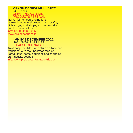#### 20 AND 27 NOVEMBER 2022 CORIANO OLIVE AND AUTUMN PRODUCTS FESTIVAL

Market fair for local and national agro-silvo-pastoral products and crafts. oil tastings, workshops, food wine stalls and the Casa dell'Olio. Info: +39 0541.656255 www.prolococoriano.it

#### 4-8-11-18 DECEMBER 2022 SANT'AGATA FELTRIA IL PAESE DEL NATALE

An atmosphere filled with allure and ancient traditions, with the Christmas market, Santa Claus' home, bagpipes and charming craft nativity scenes.

Info: www.prolocosantagatafeltria.com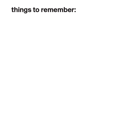# things to remember: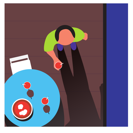